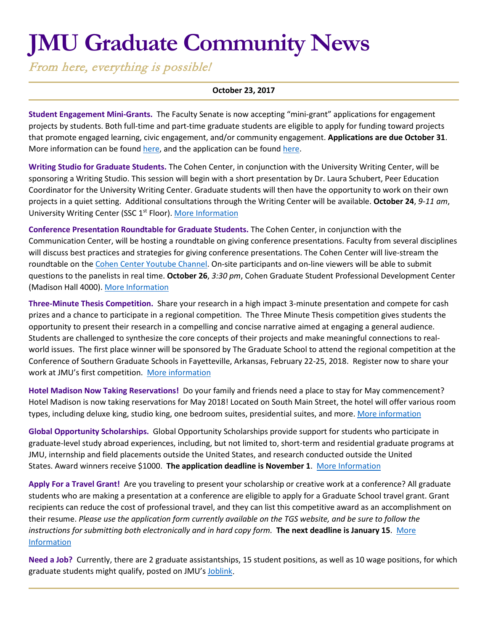# **JMU Graduate Community News**

From here, everything is possible!

#### **October 23, 2017**

**Student Engagement Mini-Grants.** The Faculty Senate is now accepting "mini-grant" applications for engagement projects by students. Both full-time and part-time graduate students are eligible to apply for funding toward projects that promote engaged learning, civic engagement, and/or community engagement. **Applications are due October 31**. More information can be foun[d here,](https://docs.google.com/document/d/18W7J6Yock9azUXilkF3FujLrz9ChwvPIU8tpZLOuOr4/edit) and the application can be found [here.](https://docs.google.com/forms/d/e/1FAIpQLSdSA4dgrytAfeCoOIPkkiOGC31O-gYOOZco_VuoXAGwfzQ-sg/viewform)

**Writing Studio for Graduate Students.** The Cohen Center, in conjunction with the University Writing Center, will be sponsoring a Writing Studio. This session will begin with a short presentation by Dr. Laura Schubert, Peer Education Coordinator for the University Writing Center. Graduate students will then have the opportunity to work on their own projects in a quiet setting. Additional consultations through the Writing Center will be available. **October 24**, *9-11 am*, University Writing Center (SSC 1<sup>st</sup> Floor)[. More Information](http://www.jmu.edu/events/cohencenter/2017/10-24-writing.shtml)

**Conference Presentation Roundtable for Graduate Students.** The Cohen Center, in conjunction with the Communication Center, will be hosting a roundtable on giving conference presentations. Faculty from several disciplines will discuss best practices and strategies for giving conference presentations. The Cohen Center will live-stream the roundtable on th[e Cohen Center Youtube Channel.](https://www.youtube.com/channel/UCfxZTbYNz3131rXlFRYYPVA?view_as=public) On-site participants and on-line viewers will be able to submit questions to the panelists in real time. **October 26**, *3:30 pm*, Cohen Graduate Student Professional Development Center (Madison Hall 4000). [More Information](http://www.jmu.edu/events/cohencenter/2017/10-26-roundtable.shtml)

**Three-Minute Thesis Competition.** Share your research in a high impact 3-minute presentation and compete for cash prizes and a chance to participate in a regional competition. The Three Minute Thesis competition gives students the opportunity to present their research in a compelling and concise narrative aimed at engaging a general audience. Students are challenged to synthesize the core concepts of their projects and make meaningful connections to realworld issues. The first place winner will be sponsored by The Graduate School to attend the regional competition at the Conference of Southern Graduate Schools in Fayetteville, Arkansas, February 22-25, 2018. Register now to share your work at JMU's first competition. [More information](http://www.jmu.edu/grad/current-students/three-minute-thesis.shtml)

**Hotel Madison Now Taking Reservations!** Do your family and friends need a place to stay for May commencement? Hotel Madison is now taking reservations for May 2018! Located on South Main Street, the hotel will offer various room types, including deluxe king, studio king, one bedroom suites, presidential suites, and more[. More information](http://www.hotelmadison.com/)

**Global Opportunity Scholarships.** Global Opportunity Scholarships provide support for students who participate in graduate-level study abroad experiences, including, but not limited to, short-term and residential graduate programs at JMU, internship and field placements outside the United States, and research conducted outside the United States. Award winners receive \$1000. **The application deadline is November 1**. [More Information](https://www.jmu.edu/grad/current-students/awards/global-opportunity-scholarship.shtml)

**Apply For a Travel Grant!** Are you traveling to present your scholarship or creative work at a conference? All graduate students who are making a presentation at a conference are eligible to apply for a Graduate School travel grant. Grant recipients can reduce the cost of professional travel, and they can list this competitive award as an accomplishment on their resume. *Please use the application form currently available on the TGS website, and be sure to follow the instructions for submitting both electronically and in hard copy form.* **The next deadline is January 15**. [More](http://www.jmu.edu/grad/current-students/awards/travel-grants.shtml)  [Information](http://www.jmu.edu/grad/current-students/awards/travel-grants.shtml)

**Need a Job?** Currently, there are 2 graduate assistantships, 15 student positions, as well as 10 wage positions, for which graduate students might qualify, posted on JMU's [Joblink.](https://joblink.jmu.edu/)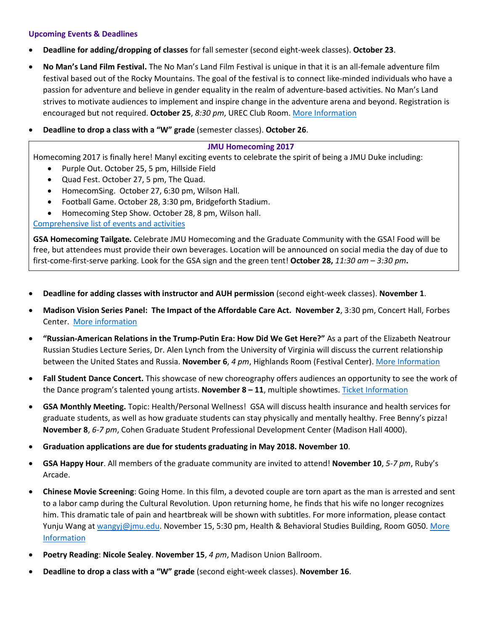# **Upcoming Events & Deadlines**

- **Deadline for adding/dropping of classes** for fall semester (second eight-week classes). **October 23**.
- **No Man's Land Film Festival.** The No Man's Land Film Festival is unique in that it is an all-female adventure film festival based out of the Rocky Mountains. The goal of the festival is to connect like-minded individuals who have a passion for adventure and believe in gender equality in the realm of adventure-based activities. No Man's Land strives to motivate audiences to implement and inspire change in the adventure arena and beyond. Registration is encouraged but not required. **October 25**, *8:30 pm*, UREC Club Room. [More Information](http://www.jmu.edu/events/womenstudies/2017/10-25-no-mans-land.shtml)
- **Deadline to drop a class with a "W" grade** (semester classes). **October 26**.

## **JMU Homecoming 2017**

Homecoming 2017 is finally here! Manyl exciting events to celebrate the spirit of being a JMU Duke including:

- Purple Out. October 25, 5 pm, Hillside Field
- Quad Fest. October 27, 5 pm, The Quad.
- HomecomSing. October 27, 6:30 pm, Wilson Hall.
- Football Game. October 28, 3:30 pm, Bridgeforth Stadium.
- Homecoming Step Show. October 28, 8 pm, Wilson hall.

# [Comprehensive list of events and activities](https://www.alumni.jmu.edu/s/1591/gid3-Alumni/social.aspx?sid=1591&gid=3&pgid=2311)

**GSA Homecoming Tailgate.** Celebrate JMU Homecoming and the Graduate Community with the GSA! Food will be free, but attendees must provide their own beverages. Location will be announced on social media the day of due to first-come-first-serve parking. Look for the GSA sign and the green tent! **October 28,** *11:30 am – 3:30 pm***.**

- **Deadline for adding classes with instructor and AUH permission** (second eight-week classes). **November 1**.
- **Madison Vision Series Panel: The Impact of the Affordable Care Act. November 2**, 3:30 pm, Concert Hall, Forbes Center. [More information](http://www.jmu.edu/events/president/2017/11/MVS-ACA.shtml)
- **"Russian-American Relations in the Trump-Putin Era: How Did We Get Here?"** As a part of the Elizabeth Neatrour Russian Studies Lecture Series, Dr. Alen Lynch from the University of Virginia will discuss the current relationship between the United States and Russia. **November 6**, *4 pm*, Highlands Room (Festival Center). [More Information](http://www.jmu.edu/events/forlang/2017/11/06-putinlecture.shtml)
- **Fall Student Dance Concert.** This showcase of new choreography offers audiences an opportunity to see the work of the Dance program's talented young artists. **November 8 – 11**, multiple showtimes. [Ticket Information](http://www.jmu.edu/forbescenter/events/2017/11/08-fall-student-dance-concert.shtml)
- **GSA Monthly Meeting.** Topic: Health/Personal Wellness! GSA will discuss health insurance and health services for graduate students, as well as how graduate students can stay physically and mentally healthy. Free Benny's pizza! **November 8**, *6-7 pm*, Cohen Graduate Student Professional Development Center (Madison Hall 4000).
- **Graduation applications are due for students graduating in May 2018. November 10**.
- **GSA Happy Hour**. All members of the graduate community are invited to attend! **November 10**, *5-7 pm*, Ruby's Arcade.
- **Chinese Movie Screening**: Going Home. In this film, a devoted couple are torn apart as the man is arrested and sent to a labor camp during the Cultural Revolution. Upon returning home, he finds that his wife no longer recognizes him. This dramatic tale of pain and heartbreak will be shown with subtitles. For more information, please contact Yunju Wang at [wangyj@jmu.edu.](mailto:wangyj@jmu.edu) November 15, 5:30 pm, Health & Behavioral Studies Building, Room G050. More [Information](http://www.jmu.edu/events/forlang/2017/11/15-goinghome.shtml)
- **Poetry Reading**: **Nicole Sealey**. **November 15**, *4 pm*, Madison Union Ballroom.
- **Deadline to drop a class with a "W" grade** (second eight-week classes). **November 16**.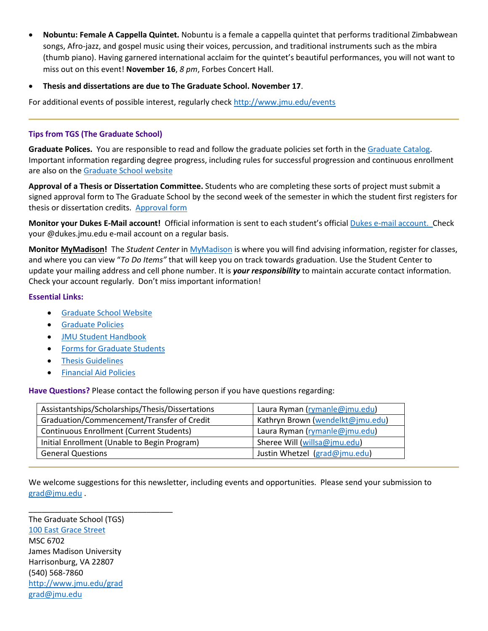- **Nobuntu: Female A Cappella Quintet.** Nobuntu is a female a cappella quintet that performs traditional Zimbabwean songs, Afro-jazz, and gospel music using their voices, percussion, and traditional instruments such as the mbira (thumb piano). Having garnered international acclaim for the quintet's beautiful performances, you will not want to miss out on this event! **November 16**, *8 pm*, Forbes Concert Hall.
- **Thesis and dissertations are due to The Graduate School. November 17**.

For additional events of possible interest, regularly check<http://www.jmu.edu/events>

## **Tips from TGS (The Graduate School)**

**Graduate Polices.** You are responsible to read and follow the graduate policies set forth in th[e Graduate Catalog.](http://jmu.edu/catalog) Important information regarding degree progress, including rules for successful progression and continuous enrollment are also on the [Graduate School website](http://www.jmu.edu/grad/current-students/degree-progress/beginning.shtml)

**Approval of a Thesis or Dissertation Committee.** Students who are completing these sorts of project must submit a signed approval form to The Graduate School by the second week of the semester in which the student first registers for thesis or dissertation credits. [Approval form](http://www.jmu.edu/grad/_files/CommitteeApprovalForm2014-15.pdf)

**Monitor your Dukes E-Mail account!** Official information is sent to each student's officia[l Dukes e-mail account.](http://www.jmu.edu/computing/helpdesk/selfhelp/DukesEmail.shtml) Check your @dukes.jmu.edu e-mail account on a regular basis.

**Monitor [MyMadison!](http://mymadison.jmu.edu/)** The *Student Center* in [MyMadison](http://mymadison.jmu.edu/) is where you will find advising information, register for classes, and where you can view "*To Do Items"* that will keep you on track towards graduation. Use the Student Center to update your mailing address and cell phone number. It is *your responsibility* to maintain accurate contact information. Check your account regularly. Don't miss important information!

## **Essential Links:**

- [Graduate School Website](http://www.jmu.edu/grad)
- [Graduate Policies](http://www.jmu.edu/catalog/index.shtml)
- [JMU Student Handbook](https://www.jmu.edu/osarp/handbook/index.shtml)
- [Forms for Graduate Students](http://www.jmu.edu/grad/current-students/graduate-forms.shtml)
- [Thesis Guidelines](http://www.jmu.edu/grad/current-students/thesis-dissertation/information.shtml)
- [Financial Aid Policies](http://www.jmu.edu/finaid/sap.shtml)

**Have Questions?** Please contact the following person if you have questions regarding:

| Assistantships/Scholarships/Thesis/Dissertations | Laura Ryman (rymanle@jmu.edu)    |
|--------------------------------------------------|----------------------------------|
| Graduation/Commencement/Transfer of Credit       | Kathryn Brown (wendelkt@jmu.edu) |
| <b>Continuous Enrollment (Current Students)</b>  | Laura Ryman (rymanle@jmu.edu)    |
| Initial Enrollment (Unable to Begin Program)     | Sheree Will (willsa@jmu.edu)     |
| <b>General Questions</b>                         | Justin Whetzel (grad@jmu.edu)    |

We welcome suggestions for this newsletter, including events and opportunities. Please send your submission to [grad@jmu.edu](mailto:grad@jmu.edu) .

The Graduate School (TGS) [100 East Grace Street](http://www.jmu.edu/directory/buildings/MADI.shtml) MSC 6702 James Madison University Harrisonburg, VA 22807 (540) 568-7860 <http://www.jmu.edu/grad> [grad@jmu.edu](mailto:grad@jmu.edu)

\_\_\_\_\_\_\_\_\_\_\_\_\_\_\_\_\_\_\_\_\_\_\_\_\_\_\_\_\_\_\_\_\_